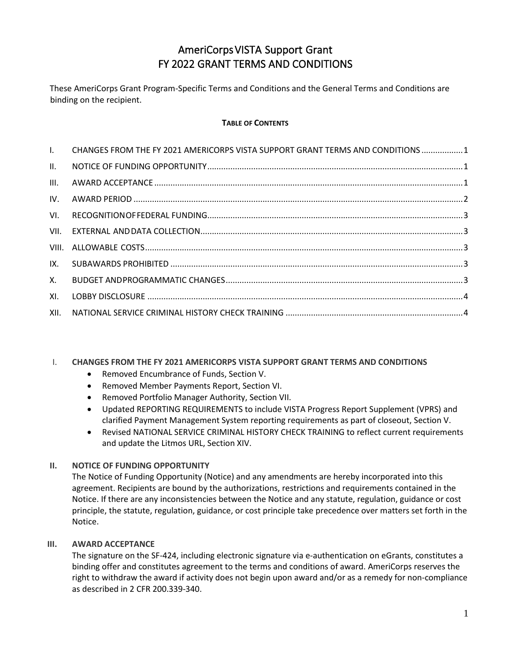# AmeriCorpsVISTA Support Grant FY 2022 GRANT TERMS AND CONDITIONS

These AmeriCorps Grant Program-Specific Terms and Conditions and the General Terms and Conditions are binding on the recipient.

# **TABLE OF CONTENTS**

| $\mathbf{L}$ | CHANGES FROM THE FY 2021 AMERICORPS VISTA SUPPORT GRANT TERMS AND CONDITIONS  1 |  |
|--------------|---------------------------------------------------------------------------------|--|
| II.          |                                                                                 |  |
| III.         |                                                                                 |  |
| IV.          |                                                                                 |  |
| VI.          |                                                                                 |  |
|              |                                                                                 |  |
|              |                                                                                 |  |
| IX.          |                                                                                 |  |
| X.           |                                                                                 |  |
| XI.          |                                                                                 |  |
| XII.         |                                                                                 |  |
|              |                                                                                 |  |

# <span id="page-0-0"></span>I. **CHANGES FROM THE FY 2021 AMERICORPS VISTA SUPPORT GRANT TERMS AND CONDITIONS**

- Removed Encumbrance of Funds, Section V.
- Removed Member Payments Report, Section VI.
- Removed Portfolio Manager Authority, Section VII.
- Updated REPORTING REQUIREMENTS to include VISTA Progress Report Supplement (VPRS) and clarified Payment Management System reporting requirements as part of closeout, Section V.
- Revised NATIONAL SERVICE CRIMINAL HISTORY CHECK TRAINING to reflect current requirements and update the Litmos URL, Section XIV.

# <span id="page-0-1"></span>**II. NOTICE OF FUNDING OPPORTUNITY**

The Notice of Funding Opportunity (Notice) and any amendments are hereby incorporated into this agreement. Recipients are bound by the authorizations, restrictions and requirements contained in the Notice. If there are any inconsistencies between the Notice and any statute, regulation, guidance or cost principle, the statute, regulation, guidance, or cost principle take precedence over matters set forth in the Notice.

#### <span id="page-0-2"></span>**III. AWARD ACCEPTANCE**

The signature on the SF‐424, including electronic signature via e‐authentication on eGrants, constitutes a binding offer and constitutes agreement to the terms and conditions of award. AmeriCorps reserves the right to withdraw the award if activity does not begin upon award and/or as a remedy for non‐compliance as described in 2 CFR 200.339‐340.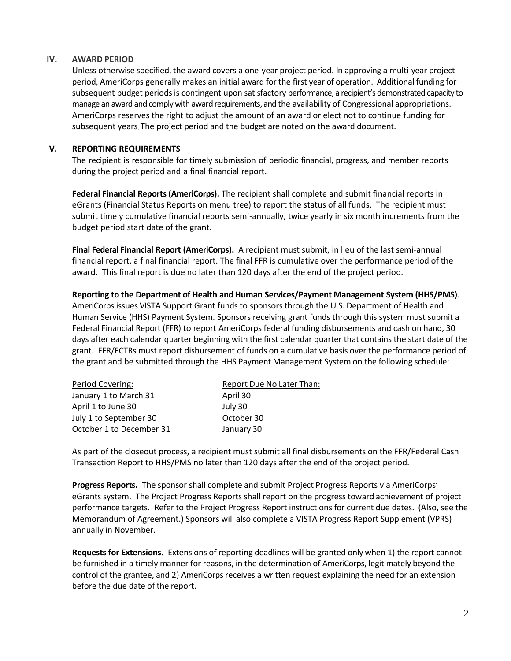#### <span id="page-1-0"></span>**IV. AWARD PERIOD**

Unless otherwise specified, the award covers a one-year project period. In approving a multi-year project period, AmeriCorps generally makes an initial award for the first year of operation. Additional funding for subsequent budget periods is contingent upon satisfactory performance, a recipient's demonstrated capacity to manage an award and comply with award requirements, and the availability of Congressional appropriations. AmeriCorps reserves the right to adjust the amount of an award or elect not to continue funding for subsequent years. The project period and the budget are noted on the award document.

## **V. REPORTING REQUIREMENTS**

The recipient is responsible for timely submission of periodic financial, progress, and member reports during the project period and a final financial report.

**Federal Financial Reports(AmeriCorps).** The recipient shall complete and submit financial reports in eGrants (Financial Status Reports on menu tree) to report the status of all funds. The recipient must submit timely cumulative financial reports semi-annually, twice yearly in six month increments from the budget period start date of the grant.

**Final Federal Financial Report (AmeriCorps).** A recipient must submit, in lieu of the last semi-annual financial report, a final financial report. The final FFR is cumulative over the performance period of the award. This final report is due no later than 120 days after the end of the project period.

**Reporting to the Department of Health and Human Services/Payment Management System (HHS/PMS**). AmeriCorpsissues VISTA Support Grant funds to sponsors through the U.S. Department of Health and Human Service (HHS) Payment System. Sponsors receiving grant funds through this system must submit a Federal Financial Report (FFR) to report AmeriCorps federal funding disbursements and cash on hand, 30 days after each calendar quarter beginning with the first calendar quarter that contains the start date of the grant. FFR/FCTRs must report disbursement of funds on a cumulative basis over the performance period of the grant and be submitted through the HHS Payment Management System on the following schedule:

| Period Covering:         | Report Due No Later Than: |
|--------------------------|---------------------------|
| January 1 to March 31    | April 30                  |
| April 1 to June 30       | July 30                   |
| July 1 to September 30   | October 30                |
| October 1 to December 31 | January 30                |

As part of the closeout process, a recipient must submit all final disbursements on the FFR/Federal Cash Transaction Report to HHS/PMS no later than 120 days after the end of the project period.

**Progress Reports.** The sponsor shall complete and submit Project Progress Reports via AmeriCorps' eGrants system. The Project Progress Reports shall report on the progress toward achievement of project performance targets. Refer to the Project Progress Report instructions for current due dates. (Also, see the Memorandum of Agreement.) Sponsors will also complete a VISTA Progress Report Supplement (VPRS) annually in November.

**Requestsfor Extensions.** Extensions of reporting deadlines will be granted only when 1) the report cannot be furnished in a timely manner for reasons, in the determination of AmeriCorps, legitimately beyond the control of the grantee, and 2) AmeriCorps receives a written request explaining the need for an extension before the due date of the report.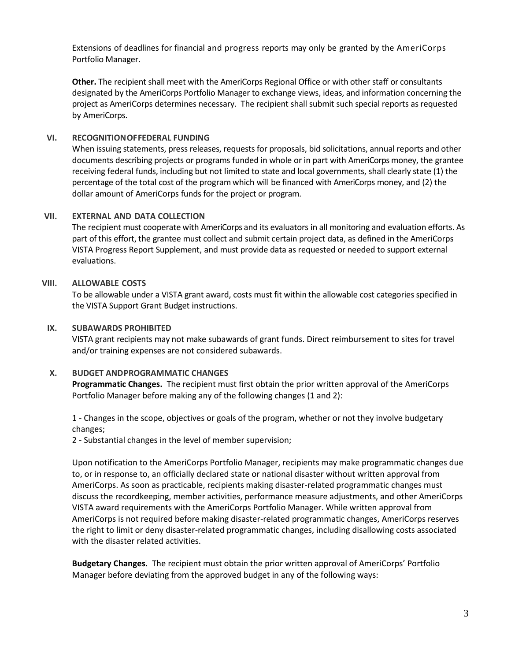Extensions of deadlines for financial and progress reports may only be granted by the AmeriCorps Portfolio Manager.

**Other.** The recipient shall meet with the AmeriCorps Regional Office or with other staff or consultants designated by the AmeriCorps Portfolio Manager to exchange views, ideas, and information concerning the project as AmeriCorps determines necessary. The recipient shall submit such special reports asrequested by AmeriCorps.

## <span id="page-2-0"></span>**VI. RECOGNITIONOFFEDERAL FUNDING**

When issuing statements, press releases, requests for proposals, bid solicitations, annual reports and other documents describing projects or programs funded in whole or in part with AmeriCorps money, the grantee receiving federal funds, including but not limited to state and local governments, shall clearly state (1) the percentage of the total cost of the programwhich will be financed with AmeriCorps money, and (2) the dollar amount of AmeriCorps funds for the project or program.

# <span id="page-2-1"></span>**VII. EXTERNAL AND DATA COLLECTION**

The recipient must cooperate with AmeriCorps and its evaluators in all monitoring and evaluation efforts. As part of this effort, the grantee must collect and submit certain project data, as defined in the AmeriCorps VISTA Progress Report Supplement, and must provide data as requested or needed to support external evaluations.

# <span id="page-2-2"></span>**VIII. ALLOWABLE COSTS**

To be allowable under a VISTA grant award, costs must fit within the allowable cost categories specified in the VISTA Support Grant Budget instructions.

## <span id="page-2-3"></span>**IX. SUBAWARDS PROHIBITED**

VISTA grant recipients may not make subawards of grant funds. Direct reimbursement to sites for travel and/or training expenses are not considered subawards.

#### <span id="page-2-4"></span>**X. BUDGET ANDPROGRAMMATIC CHANGES**

**Programmatic Changes.** The recipient must first obtain the prior written approval of the AmeriCorps Portfolio Manager before making any of the following changes (1 and 2):

1 - Changes in the scope, objectives or goals of the program, whether or not they involve budgetary changes;

2 - Substantial changes in the level of member supervision;

Upon notification to the AmeriCorps Portfolio Manager, recipients may make programmatic changes due to, or in response to, an officially declared state or national disaster without written approval from AmeriCorps. As soon as practicable, recipients making disaster-related programmatic changes must discuss the recordkeeping, member activities, performance measure adjustments, and other AmeriCorps VISTA award requirements with the AmeriCorps Portfolio Manager. While written approval from AmeriCorps is not required before making disaster-related programmatic changes, AmeriCorps reserves the right to limit or deny disaster-related programmatic changes, including disallowing costs associated with the disaster related activities.

**Budgetary Changes.** The recipient must obtain the prior written approval of AmeriCorps' Portfolio Manager before deviating from the approved budget in any of the following ways: